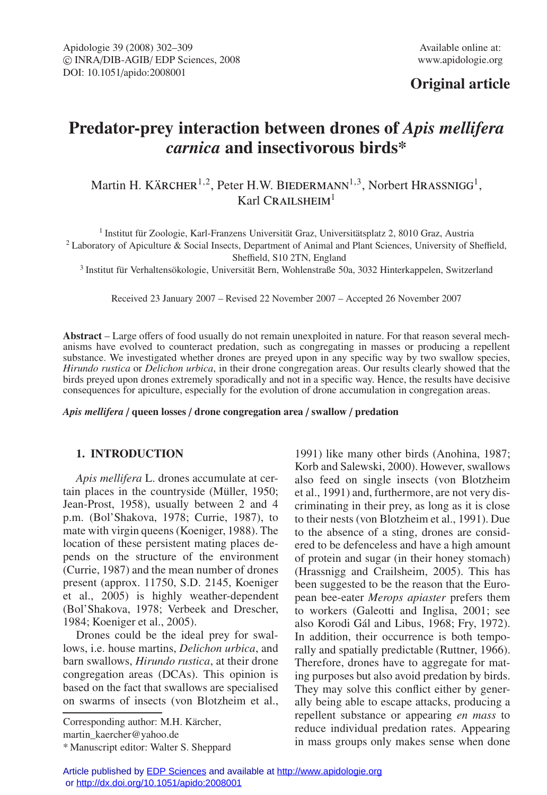# **Original article**

# **Predator-prey interaction between drones of** *Apis mellifera carnica* **and insectivorous birds\***

Martin H. KÄRCHER<sup>1,2</sup>, Peter H.W. BIEDERMANN<sup>1,3</sup>, Norbert HRASSNIGG<sup>1</sup>, Karl CRAILSHEIM<sup>1</sup>

<sup>1</sup> Institut für Zoologie, Karl-Franzens Universität Graz, Universitätsplatz 2, 8010 Graz, Austria <sup>2</sup> Laboratory of Apiculture & Social Insects, Department of Animal and Plant Sciences, University of Sheffield, Sheffield, S10 2TN, England

<sup>3</sup> Institut für Verhaltensökologie, Universität Bern, Wohlenstraße 50a, 3032 Hinterkappelen, Switzerland

Received 23 January 2007 – Revised 22 November 2007 – Accepted 26 November 2007

**Abstract** – Large offers of food usually do not remain unexploited in nature. For that reason several mechanisms have evolved to counteract predation, such as congregating in masses or producing a repellent substance. We investigated whether drones are preyed upon in any specific way by two swallow species, *Hirundo rustica* or *Delichon urbica*, in their drone congregation areas. Our results clearly showed that the birds preyed upon drones extremely sporadically and not in a specific way. Hence, the results have decisive consequences for apiculture, especially for the evolution of drone accumulation in congregation areas.

*Apis mellifera* / **queen losses** / **drone congregation area** / **swallow** / **predation**

#### **1. INTRODUCTION**

*Apis mellifera* L. drones accumulate at certain places in the countryside (Müller, 1950; Jean-Prost, 1958), usually between 2 and 4 p.m. (Bol'Shakova, 1978; Currie, 1987), to mate with virgin queens (Koeniger, 1988). The location of these persistent mating places depends on the structure of the environment (Currie, 1987) and the mean number of drones present (approx. 11750, S.D. 2145, Koeniger et al., 2005) is highly weather-dependent (Bol'Shakova, 1978; Verbeek and Drescher, 1984; Koeniger et al., 2005).

Drones could be the ideal prey for swallows, i.e. house martins, *Delichon urbica*, and barn swallows, *Hirundo rustica*, at their drone congregation areas (DCAs). This opinion is based on the fact that swallows are specialised on swarms of insects (von Blotzheim et al.,

Corresponding author: M.H. Kärcher, martin\_kaercher@yahoo.de

1991) like many other birds (Anohina, 1987; Korb and Salewski, 2000). However, swallows also feed on single insects (von Blotzheim et al., 1991) and, furthermore, are not very discriminating in their prey, as long as it is close to their nests (von Blotzheim et al., 1991). Due to the absence of a sting, drones are considered to be defenceless and have a high amount of protein and sugar (in their honey stomach) (Hrassnigg and Crailsheim, 2005). This has been suggested to be the reason that the European bee-eater *Merops apiaster* prefers them to workers (Galeotti and Inglisa, 2001; see also Korodi Gál and Libus, 1968; Fry, 1972). In addition, their occurrence is both temporally and spatially predictable (Ruttner, 1966). Therefore, drones have to aggregate for mating purposes but also avoid predation by birds. They may solve this conflict either by generally being able to escape attacks, producing a repellent substance or appearing *en mass* to reduce individual predation rates. Appearing in mass groups only makes sense when done

<sup>\*</sup> Manuscript editor: Walter S. Sheppard

Article published by [EDP Sciences](http://www.edpsciences.org) and available at<http://www.apidologie.org> or<http://dx.doi.org/10.1051/apido:2008001>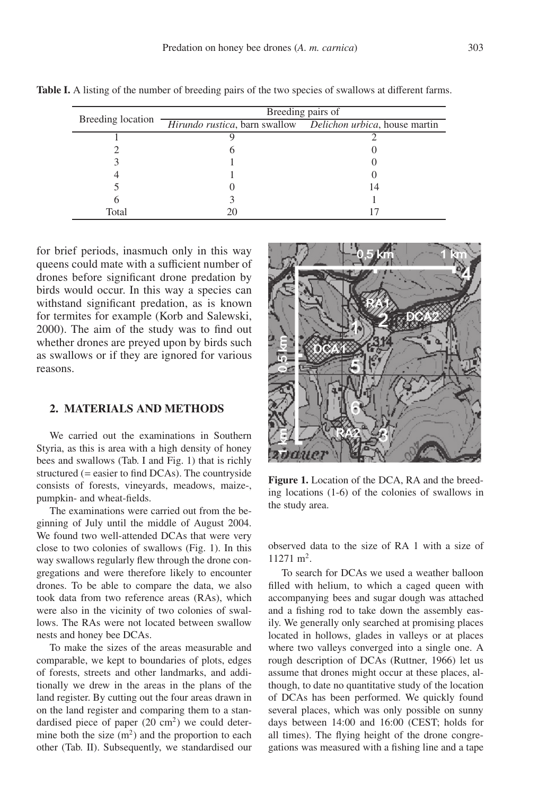| Breeding location | Breeding pairs of |                                                             |
|-------------------|-------------------|-------------------------------------------------------------|
|                   |                   | Hirundo rustica, barn swallow Delichon urbica, house martin |
|                   |                   |                                                             |
|                   |                   |                                                             |
|                   |                   |                                                             |
|                   |                   |                                                             |
|                   |                   | 14                                                          |
|                   |                   |                                                             |
| Total             | 20                |                                                             |

**Table I.** A listing of the number of breeding pairs of the two species of swallows at different farms.

for brief periods, inasmuch only in this way queens could mate with a sufficient number of drones before significant drone predation by birds would occur. In this way a species can withstand significant predation, as is known for termites for example (Korb and Salewski, 2000). The aim of the study was to find out whether drones are preyed upon by birds such as swallows or if they are ignored for various reasons.

## **2. MATERIALS AND METHODS**

We carried out the examinations in Southern Styria, as this is area with a high density of honey bees and swallows (Tab. I and Fig. 1) that is richly structured (= easier to find DCAs). The countryside consists of forests, vineyards, meadows, maize-, pumpkin- and wheat-fields.

The examinations were carried out from the beginning of July until the middle of August 2004. We found two well-attended DCAs that were very close to two colonies of swallows (Fig. 1). In this way swallows regularly flew through the drone congregations and were therefore likely to encounter drones. To be able to compare the data, we also took data from two reference areas (RAs), which were also in the vicinity of two colonies of swallows. The RAs were not located between swallow nests and honey bee DCAs.

To make the sizes of the areas measurable and comparable, we kept to boundaries of plots, edges of forests, streets and other landmarks, and additionally we drew in the areas in the plans of the land register. By cutting out the four areas drawn in on the land register and comparing them to a standardised piece of paper  $(20 \text{ cm}^2)$  we could determine both the size  $(m<sup>2</sup>)$  and the proportion to each other (Tab. II). Subsequently, we standardised our



**Figure 1.** Location of the DCA, RA and the breeding locations (1-6) of the colonies of swallows in the study area.

observed data to the size of RA 1 with a size of 11271 m2.

To search for DCAs we used a weather balloon filled with helium, to which a caged queen with accompanying bees and sugar dough was attached and a fishing rod to take down the assembly easily. We generally only searched at promising places located in hollows, glades in valleys or at places where two valleys converged into a single one. A rough description of DCAs (Ruttner, 1966) let us assume that drones might occur at these places, although, to date no quantitative study of the location of DCAs has been performed. We quickly found several places, which was only possible on sunny days between 14:00 and 16:00 (CEST; holds for all times). The flying height of the drone congregations was measured with a fishing line and a tape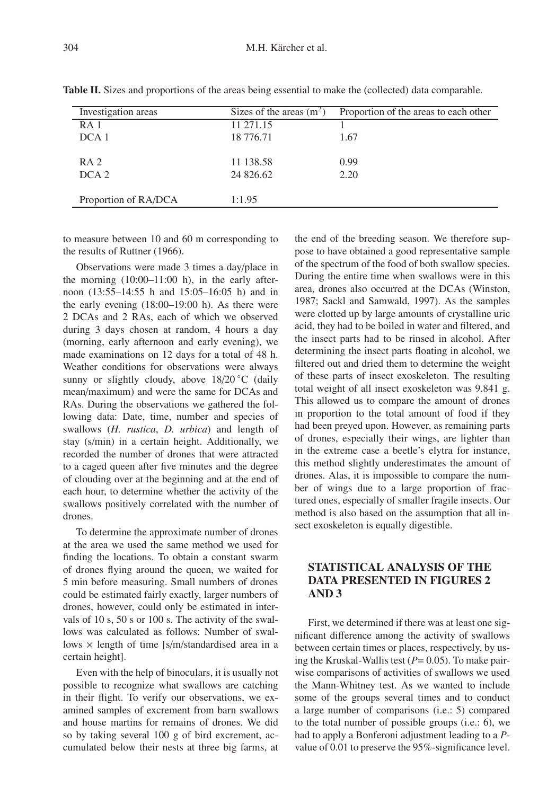| Investigation areas  | Sizes of the areas $(m2)$ | Proportion of the areas to each other |
|----------------------|---------------------------|---------------------------------------|
| RA <sub>1</sub>      | 11 271.15                 |                                       |
| DCA <sub>1</sub>     | 18 776.71                 | 1.67                                  |
| RA <sub>2</sub>      | 11 138.58                 | 0.99                                  |
| DCA <sub>2</sub>     | 24 826.62                 | 2.20                                  |
| Proportion of RA/DCA | 1:1.95                    |                                       |

**Table II.** Sizes and proportions of the areas being essential to make the (collected) data comparable.

to measure between 10 and 60 m corresponding to the results of Ruttner (1966).

Observations were made 3 times a day/place in the morning  $(10:00-11:00)$  h), in the early afternoon (13:55–14:55 h and 15:05–16:05 h) and in the early evening (18:00–19:00 h). As there were 2 DCAs and 2 RAs, each of which we observed during 3 days chosen at random, 4 hours a day (morning, early afternoon and early evening), we made examinations on 12 days for a total of 48 h. Weather conditions for observations were always sunny or slightly cloudy, above  $18/20$  °C (daily mean/maximum) and were the same for DCAs and RAs. During the observations we gathered the following data: Date, time, number and species of swallows (*H. rustica*, *D. urbica*) and length of stay (s/min) in a certain height. Additionally, we recorded the number of drones that were attracted to a caged queen after five minutes and the degree of clouding over at the beginning and at the end of each hour, to determine whether the activity of the swallows positively correlated with the number of drones.

To determine the approximate number of drones at the area we used the same method we used for finding the locations. To obtain a constant swarm of drones flying around the queen, we waited for 5 min before measuring. Small numbers of drones could be estimated fairly exactly, larger numbers of drones, however, could only be estimated in intervals of 10 s, 50 s or 100 s. The activity of the swallows was calculated as follows: Number of swallows  $\times$  length of time [s/m/standardised area in a certain height].

Even with the help of binoculars, it is usually not possible to recognize what swallows are catching in their flight. To verify our observations, we examined samples of excrement from barn swallows and house martins for remains of drones. We did so by taking several 100 g of bird excrement, accumulated below their nests at three big farms, at the end of the breeding season. We therefore suppose to have obtained a good representative sample of the spectrum of the food of both swallow species. During the entire time when swallows were in this area, drones also occurred at the DCAs (Winston, 1987; Sackl and Samwald, 1997). As the samples were clotted up by large amounts of crystalline uric acid, they had to be boiled in water and filtered, and the insect parts had to be rinsed in alcohol. After determining the insect parts floating in alcohol, we filtered out and dried them to determine the weight of these parts of insect exoskeleton. The resulting total weight of all insect exoskeleton was 9.841 g. This allowed us to compare the amount of drones in proportion to the total amount of food if they had been preyed upon. However, as remaining parts of drones, especially their wings, are lighter than in the extreme case a beetle's elytra for instance, this method slightly underestimates the amount of drones. Alas, it is impossible to compare the number of wings due to a large proportion of fractured ones, especially of smaller fragile insects. Our method is also based on the assumption that all insect exoskeleton is equally digestible.

## **STATISTICAL ANALYSIS OF THE DATA PRESENTED IN FIGURES 2 AND 3**

First, we determined if there was at least one significant difference among the activity of swallows between certain times or places, respectively, by using the Kruskal-Wallis test (*P*= 0.05). To make pairwise comparisons of activities of swallows we used the Mann-Whitney test. As we wanted to include some of the groups several times and to conduct a large number of comparisons (i.e.: 5) compared to the total number of possible groups (i.e.: 6), we had to apply a Bonferoni adjustment leading to a *P*value of 0.01 to preserve the 95%-significance level.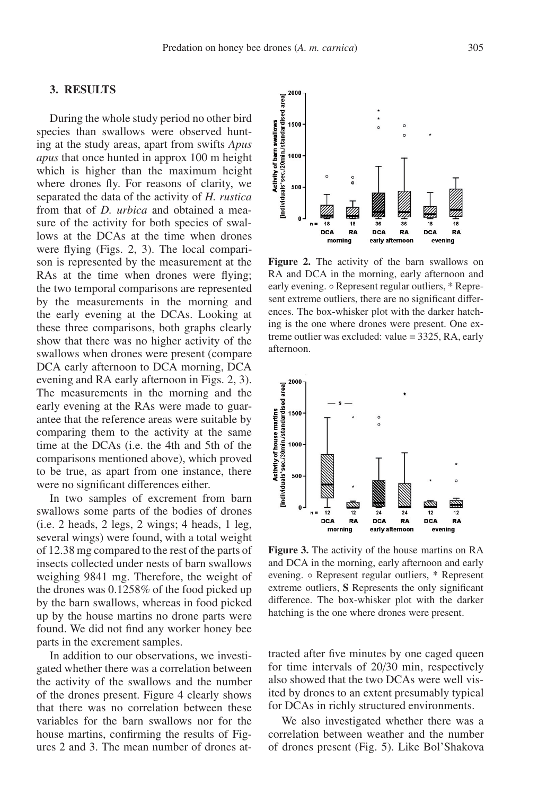2000

#### **3. RESULTS**

During the whole study period no other bird species than swallows were observed hunting at the study areas, apart from swifts *Apus apus* that once hunted in approx 100 m height which is higher than the maximum height where drones fly. For reasons of clarity, we separated the data of the activity of *H. rustica* from that of *D. urbica* and obtained a measure of the activity for both species of swallows at the DCAs at the time when drones were flying (Figs. 2, 3). The local comparison is represented by the measurement at the RAs at the time when drones were flying; the two temporal comparisons are represented by the measurements in the morning and the early evening at the DCAs. Looking at these three comparisons, both graphs clearly show that there was no higher activity of the swallows when drones were present (compare DCA early afternoon to DCA morning, DCA evening and RA early afternoon in Figs. 2, 3). The measurements in the morning and the early evening at the RAs were made to guarantee that the reference areas were suitable by comparing them to the activity at the same time at the DCAs (i.e. the 4th and 5th of the comparisons mentioned above), which proved to be true, as apart from one instance, there were no significant differences either.

In two samples of excrement from barn swallows some parts of the bodies of drones (i.e. 2 heads, 2 legs, 2 wings; 4 heads, 1 leg, several wings) were found, with a total weight of 12.38 mg compared to the rest of the parts of insects collected under nests of barn swallows weighing 9841 mg. Therefore, the weight of the drones was 0.1258% of the food picked up by the barn swallows, whereas in food picked up by the house martins no drone parts were found. We did not find any worker honey bee parts in the excrement samples.

In addition to our observations, we investigated whether there was a correlation between the activity of the swallows and the number of the drones present. Figure 4 clearly shows that there was no correlation between these variables for the barn swallows nor for the house martins, confirming the results of Figures 2 and 3. The mean number of drones at-

[individuals\*sec./20min./standardised area] Activity of barn swallows 1500 1000 500 n = 18 36 DCA **RA** DCA RA RA DCA morning early afternoon evening **Figure 2.** The activity of the barn swallows on

RA and DCA in the morning, early afternoon and early evening. ◦ Represent regular outliers, \* Represent extreme outliers, there are no significant differences. The box-whisker plot with the darker hatching is the one where drones were present. One extreme outlier was excluded: value = 3325, RA, early afternoon.

 $\circ$ **Activity of house** 0  $12$  $\overline{12}$  $\overline{12}$  $12$  $\mathbf{r}$ 24 **DCA RA** DCA **RA RA DCA** morning early afternoon evening **Figure 3.** The activity of the house martins on RA and DCA in the morning, early afternoon and early evening. ◦ Represent regular outliers, \* Represent extreme outliers, **S** Represents the only significant

tracted after five minutes by one caged queen for time intervals of 20/30 min, respectively also showed that the two DCAs were well visited by drones to an extent presumably typical for DCAs in richly structured environments.

difference. The box-whisker plot with the darker hatching is the one where drones were present.

We also investigated whether there was a correlation between weather and the number of drones present (Fig. 5). Like Bol'Shakova

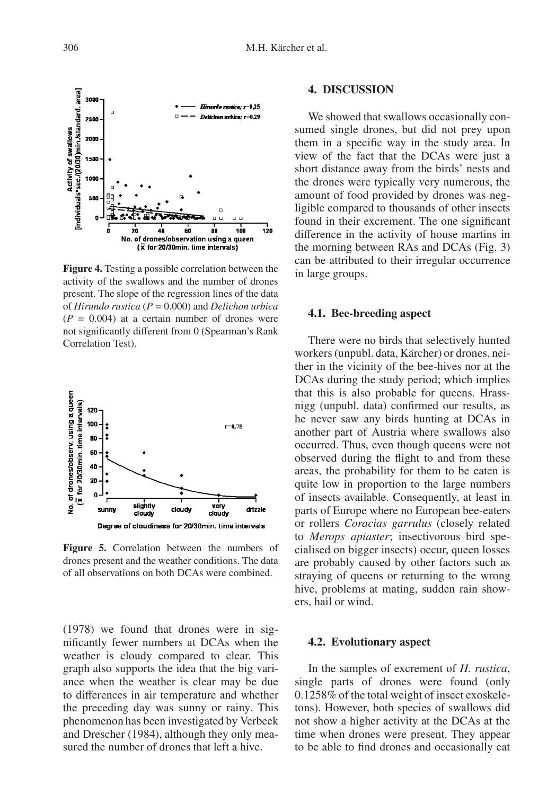

**Figure 4.** Testing a possible correlation between the activity of the swallows and the number of drones present. The slope of the regression lines of the data of *Hirundo rustica* (*P* = 0.000) and *Delichon urbica*  $(P = 0.004)$  at a certain number of drones were not significantly different from 0 (Spearman's Rank Correlation Test).



**Figure 5.** Correlation between the numbers of drones present and the weather conditions. The data of all observations on both DCAs were combined.

(1978) we found that drones were in significantly fewer numbers at DCAs when the weather is cloudy compared to clear. This graph also supports the idea that the big variance when the weather is clear may be due to differences in air temperature and whether the preceding day was sunny or rainy. This phenomenon has been investigated by Verbeek and Drescher (1984), although they only measured the number of drones that left a hive.

#### **4. DISCUSSION**

We showed that swallows occasionally consumed single drones, but did not prey upon them in a specific way in the study area. In view of the fact that the DCAs were just a short distance away from the birds' nests and the drones were typically very numerous, the amount of food provided by drones was negligible compared to thousands of other insects found in their excrement. The one significant difference in the activity of house martins in the morning between RAs and DCAs (Fig. 3) can be attributed to their irregular occurrence in large groups.

#### **4.1. Bee-breeding aspect**

There were no birds that selectively hunted workers (unpubl. data, Kärcher) or drones, neither in the vicinity of the bee-hives nor at the DCAs during the study period; which implies that this is also probable for queens. Hrassnigg (unpubl. data) confirmed our results, as he never saw any birds hunting at DCAs in another part of Austria where swallows also occurred. Thus, even though queens were not observed during the flight to and from these areas, the probability for them to be eaten is quite low in proportion to the large numbers of insects available. Consequently, at least in parts of Europe where no European bee-eaters or rollers *Coracias garrulus* (closely related to *Merops apiaster*; insectivorous bird specialised on bigger insects) occur, queen losses are probably caused by other factors such as straying of queens or returning to the wrong hive, problems at mating, sudden rain showers, hail or wind.

#### **4.2. Evolutionary aspect**

In the samples of excrement of *H. rustica*, single parts of drones were found (only 0.1258% of the total weight of insect exoskeletons). However, both species of swallows did not show a higher activity at the DCAs at the time when drones were present. They appear to be able to find drones and occasionally eat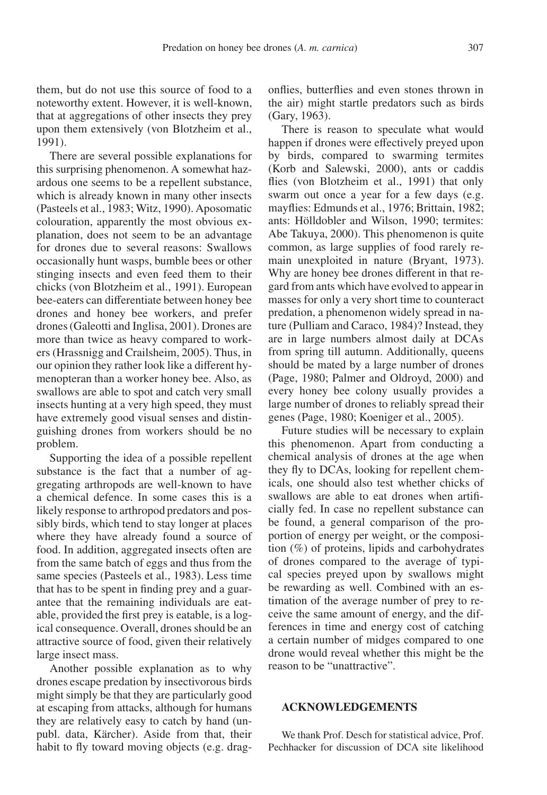them, but do not use this source of food to a noteworthy extent. However, it is well-known, that at aggregations of other insects they prey upon them extensively (von Blotzheim et al., 1991).

There are several possible explanations for this surprising phenomenon. A somewhat hazardous one seems to be a repellent substance, which is already known in many other insects (Pasteels et al., 1983; Witz, 1990). Aposomatic colouration, apparently the most obvious explanation, does not seem to be an advantage for drones due to several reasons: Swallows occasionally hunt wasps, bumble bees or other stinging insects and even feed them to their chicks (von Blotzheim et al., 1991). European bee-eaters can differentiate between honey bee drones and honey bee workers, and prefer drones (Galeotti and Inglisa, 2001). Drones are more than twice as heavy compared to workers (Hrassnigg and Crailsheim, 2005). Thus, in our opinion they rather look like a different hymenopteran than a worker honey bee. Also, as swallows are able to spot and catch very small insects hunting at a very high speed, they must have extremely good visual senses and distinguishing drones from workers should be no problem.

Supporting the idea of a possible repellent substance is the fact that a number of aggregating arthropods are well-known to have a chemical defence. In some cases this is a likely response to arthropod predators and possibly birds, which tend to stay longer at places where they have already found a source of food. In addition, aggregated insects often are from the same batch of eggs and thus from the same species (Pasteels et al., 1983). Less time that has to be spent in finding prey and a guarantee that the remaining individuals are eatable, provided the first prey is eatable, is a logical consequence. Overall, drones should be an attractive source of food, given their relatively large insect mass.

Another possible explanation as to why drones escape predation by insectivorous birds might simply be that they are particularly good at escaping from attacks, although for humans they are relatively easy to catch by hand (unpubl. data, Kärcher). Aside from that, their habit to fly toward moving objects (e.g. dragonflies, butterflies and even stones thrown in the air) might startle predators such as birds (Gary, 1963).

There is reason to speculate what would happen if drones were effectively preyed upon by birds, compared to swarming termites (Korb and Salewski, 2000), ants or caddis flies (von Blotzheim et al., 1991) that only swarm out once a year for a few days (e.g. mayflies: Edmunds et al., 1976; Brittain, 1982; ants: Hölldobler and Wilson, 1990; termites: Abe Takuya, 2000). This phenomenon is quite common, as large supplies of food rarely remain unexploited in nature (Bryant, 1973). Why are honey bee drones different in that regard from ants which have evolved to appear in masses for only a very short time to counteract predation, a phenomenon widely spread in nature (Pulliam and Caraco, 1984)? Instead, they are in large numbers almost daily at DCAs from spring till autumn. Additionally, queens should be mated by a large number of drones (Page, 1980; Palmer and Oldroyd, 2000) and every honey bee colony usually provides a large number of drones to reliably spread their genes (Page, 1980; Koeniger et al., 2005).

Future studies will be necessary to explain this phenomenon. Apart from conducting a chemical analysis of drones at the age when they fly to DCAs, looking for repellent chemicals, one should also test whether chicks of swallows are able to eat drones when artificially fed. In case no repellent substance can be found, a general comparison of the proportion of energy per weight, or the composition (%) of proteins, lipids and carbohydrates of drones compared to the average of typical species preyed upon by swallows might be rewarding as well. Combined with an estimation of the average number of prey to receive the same amount of energy, and the differences in time and energy cost of catching a certain number of midges compared to one drone would reveal whether this might be the reason to be "unattractive".

#### **ACKNOWLEDGEMENTS**

We thank Prof. Desch for statistical advice, Prof. Pechhacker for discussion of DCA site likelihood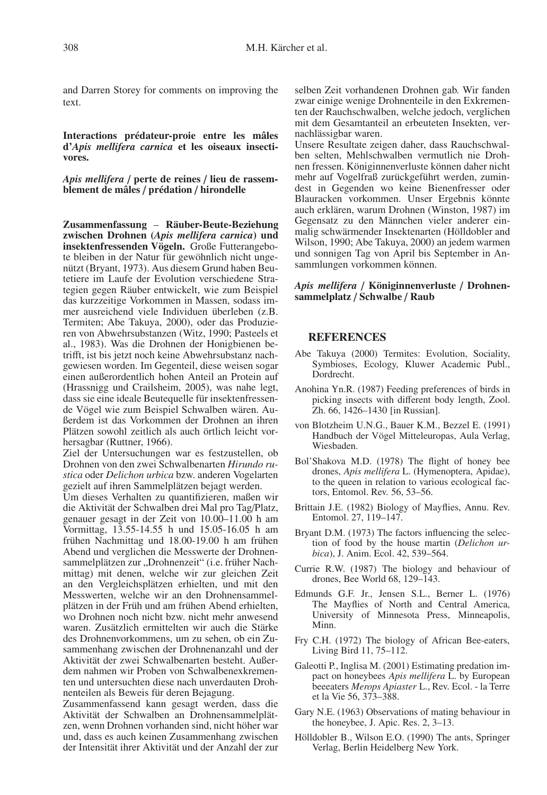and Darren Storey for comments on improving the text.

**Interactions prédateur-proie entre les mâles d'***Apis mellifera carnica* **et les oiseaux insectivores.**

*Apis mellifera* / **perte de reines** / **lieu de rassemblement de mâles** / **prédation** / **hirondelle**

**Zusammenfassung** – **Räuber-Beute-Beziehung zwischen Drohnen (***Apis mellifera carnica***) und insektenfressenden Vögeln.** Große Futterangebote bleiben in der Natur für gewöhnlich nicht ungenützt (Bryant, 1973). Aus diesem Grund haben Beutetiere im Laufe der Evolution verschiedene Strategien gegen Räuber entwickelt, wie zum Beispiel das kurzzeitige Vorkommen in Massen, sodass immer ausreichend viele Individuen überleben (z.B. Termiten; Abe Takuya, 2000), oder das Produzieren von Abwehrsubstanzen (Witz, 1990; Pasteels et al., 1983). Was die Drohnen der Honigbienen betrifft, ist bis jetzt noch keine Abwehrsubstanz nachgewiesen worden. Im Gegenteil, diese weisen sogar einen außerordentlich hohen Anteil an Protein auf (Hrassnigg und Crailsheim, 2005), was nahe legt, dass sie eine ideale Beutequelle für insektenfressende Vögel wie zum Beispiel Schwalben wären. Außerdem ist das Vorkommen der Drohnen an ihren Plätzen sowohl zeitlich als auch örtlich leicht vorhersagbar (Ruttner, 1966).

Ziel der Untersuchungen war es festzustellen, ob Drohnen von den zwei Schwalbenarten *Hirundo rustica* oder *Delichon urbica* bzw. anderen Vogelarten gezielt auf ihren Sammelplätzen bejagt werden.

Um dieses Verhalten zu quantifizieren, maßen wir die Aktivität der Schwalben drei Mal pro Tag/Platz, genauer gesagt in der Zeit von 10.00–11.00 h am Vormittag, 13.55-14.55 h und 15.05-16.05 h am frühen Nachmittag und 18.00-19.00 h am frühen Abend und verglichen die Messwerte der Drohnensammelplätzen zur "Drohnenzeit" (i.e. früher Nachmittag) mit denen, welche wir zur gleichen Zeit an den Vergleichsplätzen erhielten, und mit den Messwerten, welche wir an den Drohnensammelplätzen in der Früh und am frühen Abend erhielten, wo Drohnen noch nicht bzw. nicht mehr anwesend waren. Zusätzlich ermittelten wir auch die Stärke des Drohnenvorkommens, um zu sehen, ob ein Zusammenhang zwischen der Drohnenanzahl und der Aktivität der zwei Schwalbenarten besteht. Außerdem nahmen wir Proben von Schwalbenexkrementen und untersuchten diese nach unverdauten Drohnenteilen als Beweis für deren Bejagung.

Zusammenfassend kann gesagt werden, dass die Aktivität der Schwalben an Drohnensammelplätzen, wenn Drohnen vorhanden sind, nicht höher war und, dass es auch keinen Zusammenhang zwischen der Intensität ihrer Aktivität und der Anzahl der zur

selben Zeit vorhandenen Drohnen gab. Wir fanden zwar einige wenige Drohnenteile in den Exkrementen der Rauchschwalben, welche jedoch, verglichen mit dem Gesamtanteil an erbeuteten Insekten, vernachlässigbar waren.

Unsere Resultate zeigen daher, dass Rauchschwalben selten, Mehlschwalben vermutlich nie Drohnen fressen. Königinnenverluste können daher nicht mehr auf Vogelfraß zurückgeführt werden, zumindest in Gegenden wo keine Bienenfresser oder Blauracken vorkommen. Unser Ergebnis könnte auch erklären, warum Drohnen (Winston, 1987) im Gegensatz zu den Männchen vieler anderer einmalig schwärmender Insektenarten (Hölldobler and Wilson, 1990; Abe Takuya, 2000) an jedem warmen und sonnigen Tag von April bis September in Ansammlungen vorkommen können.

#### *Apis mellifera* / **Königinnenverluste** / **Drohnensammelplatz** / **Schwalbe** / **Raub**

#### **REFERENCES**

- Abe Takuya (2000) Termites: Evolution, Sociality, Symbioses, Ecology, Kluwer Academic Publ., Dordrecht.
- Anohina Yn.R. (1987) Feeding preferences of birds in picking insects with different body length, Zool. Zh. 66, 1426–1430 [in Russian].
- von Blotzheim U.N.G., Bauer K.M., Bezzel E. (1991) Handbuch der Vögel Mitteleuropas, Aula Verlag, Wiesbaden.
- Bol'Shakova M.D. (1978) The flight of honey bee drones, *Apis mellifera* L. (Hymenoptera, Apidae), to the queen in relation to various ecological factors, Entomol. Rev. 56, 53–56.
- Brittain J.E. (1982) Biology of Mayflies, Annu. Rev. Entomol. 27, 119–147.
- Bryant D.M. (1973) The factors influencing the selection of food by the house martin (*Delichon urbica*), J. Anim. Ecol. 42, 539–564.
- Currie R.W. (1987) The biology and behaviour of drones, Bee World 68, 129–143.
- Edmunds G.F. Jr., Jensen S.L., Berner L. (1976) The Mayflies of North and Central America, University of Minnesota Press, Minneapolis, Minn.
- Fry C.H. (1972) The biology of African Bee-eaters, Living Bird 11, 75–112.
- Galeotti P., Inglisa M. (2001) Estimating predation impact on honeybees *Apis mellifera* L. by European beeeaters *Merops Apiaster* L., Rev. Ecol. - la Terre et la Vie 56, 373–388.
- Gary N.E. (1963) Observations of mating behaviour in the honeybee, J. Apic. Res. 2, 3–13.
- Hölldobler B., Wilson E.O. (1990) The ants, Springer Verlag, Berlin Heidelberg New York.